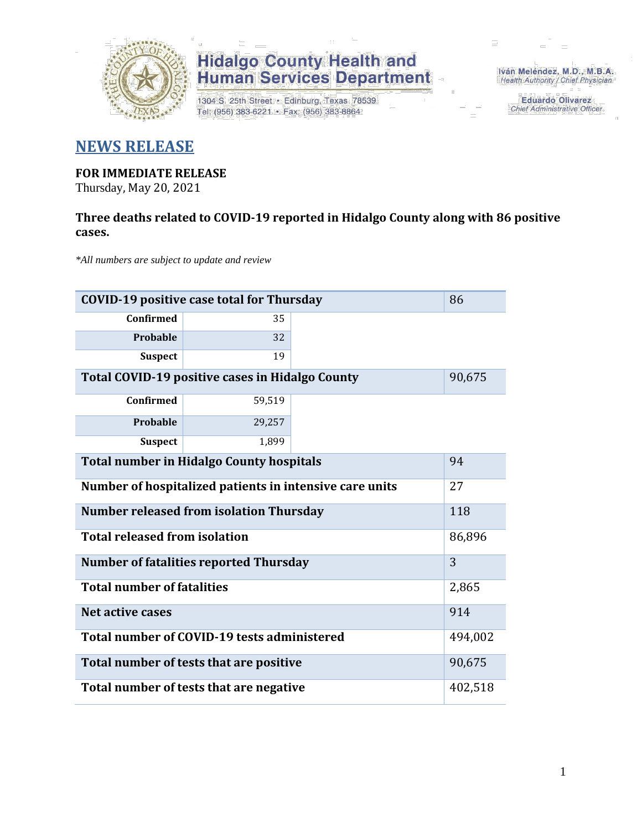

# **Hidalgo County Health and<br>Human Services Department**

1304 S. 25th Street · Edinburg, Texas 78539 Tel: (956) 383-6221 · Fax: (956) 383-8864

Iván Meléndez, M.D., M.B.A. Health Authority / Chief Physician

> **Eduardo Olivarez** Chief Administrative Officer

### **NEWS RELEASE**

#### **FOR IMMEDIATE RELEASE**

Thursday, May 20, 2021

#### **Three deaths related to COVID-19 reported in Hidalgo County along with 86 positive cases.**

*\*All numbers are subject to update and review*

| <b>COVID-19 positive case total for Thursday</b>        |         |        |  |  |
|---------------------------------------------------------|---------|--------|--|--|
| <b>Confirmed</b>                                        | 35      |        |  |  |
| <b>Probable</b>                                         | 32      |        |  |  |
| <b>Suspect</b>                                          | 19      |        |  |  |
| Total COVID-19 positive cases in Hidalgo County         |         | 90,675 |  |  |
| <b>Confirmed</b>                                        | 59,519  |        |  |  |
| Probable                                                | 29,257  |        |  |  |
| <b>Suspect</b>                                          | 1,899   |        |  |  |
| <b>Total number in Hidalgo County hospitals</b>         |         |        |  |  |
| Number of hospitalized patients in intensive care units |         |        |  |  |
| <b>Number released from isolation Thursday</b>          |         |        |  |  |
| <b>Total released from isolation</b>                    |         |        |  |  |
| <b>Number of fatalities reported Thursday</b>           |         |        |  |  |
| <b>Total number of fatalities</b>                       |         |        |  |  |
| Net active cases                                        |         |        |  |  |
| Total number of COVID-19 tests administered             |         |        |  |  |
| Total number of tests that are positive                 |         |        |  |  |
| Total number of tests that are negative                 | 402,518 |        |  |  |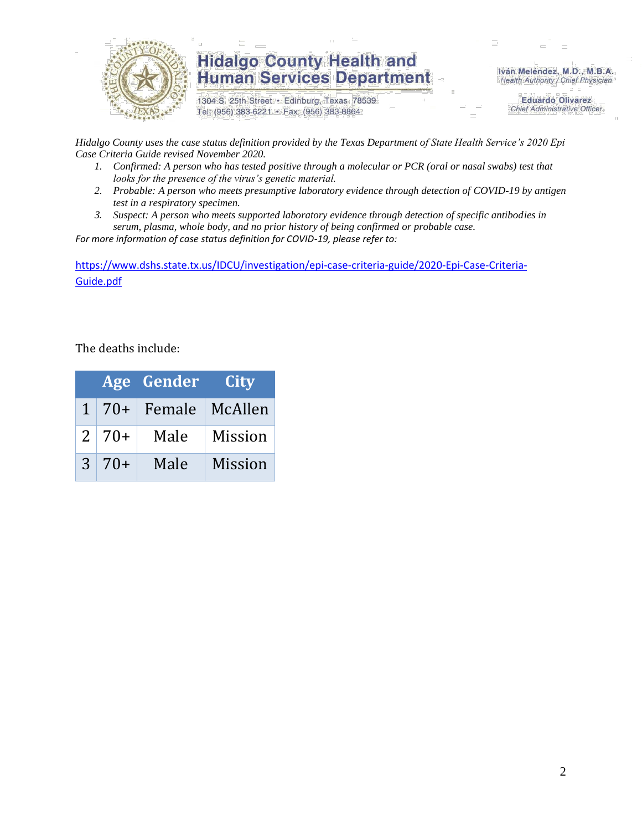

### **Hidalgo County Health and Human Services Department**

1304 S. 25th Street · Edinburg, Texas 78539 Tel: (956) 383-6221 · Fax: (956) 383-8864

Iván Meléndez, M.D., M.B.A. Health Authority / Chief Physician

> **Eduardo Olivarez Chief Administrative Officer**

*Hidalgo County uses the case status definition provided by the Texas Department of State Health Service's 2020 Epi Case Criteria Guide revised November 2020.*

- *1. Confirmed: A person who has tested positive through a molecular or PCR (oral or nasal swabs) test that looks for the presence of the virus's genetic material.*
- *2. Probable: A person who meets presumptive laboratory evidence through detection of COVID-19 by antigen test in a respiratory specimen.*
- *3. Suspect: A person who meets supported laboratory evidence through detection of specific antibodies in serum, plasma, whole body, and no prior history of being confirmed or probable case.*

*For more information of case status definition for COVID-19, please refer to:*

[https://www.dshs.state.tx.us/IDCU/investigation/epi-case-criteria-guide/2020-Epi-Case-Criteria-](https://www.dshs.state.tx.us/IDCU/investigation/epi-case-criteria-guide/2020-Epi-Case-Criteria-Guide.pdf)[Guide.pdf](https://www.dshs.state.tx.us/IDCU/investigation/epi-case-criteria-guide/2020-Epi-Case-Criteria-Guide.pdf)

The deaths include:

|               |              | <b>Age Gender</b>          | <b>City</b>    |
|---------------|--------------|----------------------------|----------------|
|               |              | 1   70+   Female   McAllen |                |
|               | $2 \mid 70+$ | Male                       | <b>Mission</b> |
| $\mathcal{S}$ | $70+$        | Male                       | <b>Mission</b> |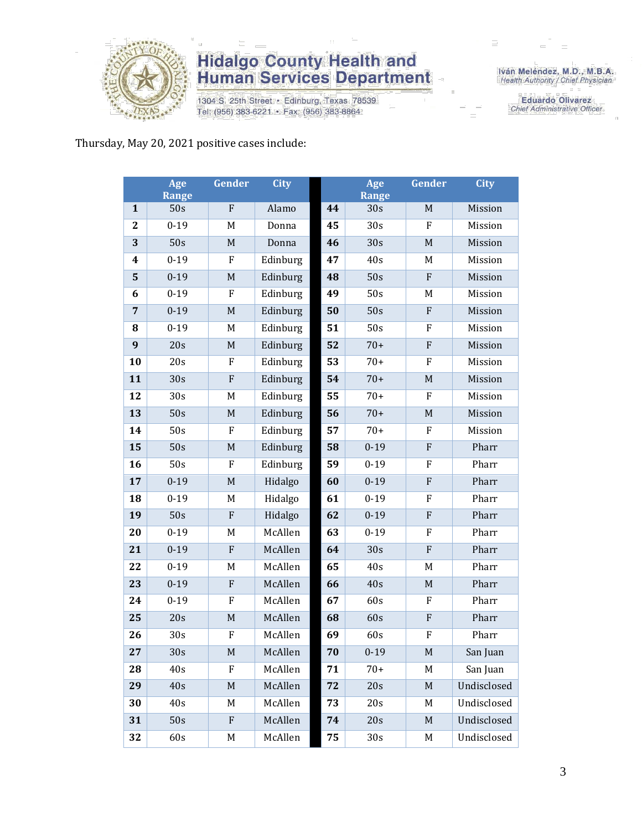

# **Hidalgo County Health and<br>Human Services Department**

1304 S. 25th Street · Edinburg, Texas 78539 Tel: (956) 383-6221 · Fax: (956) 383-8864

Iván Meléndez, M.D., M.B.A.<br>Health Authority / Chief Physician

**Eduardo Olivarez** Chief Administrative Officer

Thursday, May 20, 2021 positive cases include:

|                  | Age<br><b>Range</b> | Gender                    | <b>City</b> |    | Age<br><b>Range</b> | Gender       | <b>City</b> |
|------------------|---------------------|---------------------------|-------------|----|---------------------|--------------|-------------|
| $\mathbf{1}$     | 50s                 | ${\bf F}$                 | Alamo       | 44 | 30s                 | M            | Mission     |
| $\boldsymbol{2}$ | $0 - 19$            | $\mathbf M$               | Donna       | 45 | 30s                 | F            | Mission     |
| 3                | 50s                 | $\mathbf M$               | Donna       | 46 | 30s                 | $\mathbf M$  | Mission     |
| 4                | $0 - 19$            | F                         | Edinburg    | 47 | 40s                 | M            | Mission     |
| 5                | $0 - 19$            | M                         | Edinburg    | 48 | 50s                 | ${\bf F}$    | Mission     |
| 6                | $0 - 19$            | ${\bf F}$                 | Edinburg    | 49 | 50s                 | M            | Mission     |
| $\overline{7}$   | $0 - 19$            | M                         | Edinburg    | 50 | 50s                 | ${\bf F}$    | Mission     |
| 8                | $0 - 19$            | $\mathbf M$               | Edinburg    | 51 | 50s                 | ${\rm F}$    | Mission     |
| 9                | 20s                 | $\mathbf M$               | Edinburg    | 52 | $70+$               | $\mathbf{F}$ | Mission     |
| 10               | 20s                 | F                         | Edinburg    | 53 | $70+$               | ${\bf F}$    | Mission     |
| 11               | 30s                 | ${\bf F}$                 | Edinburg    | 54 | $70+$               | $\mathbf M$  | Mission     |
| 12               | 30s                 | M                         | Edinburg    | 55 | $70+$               | F            | Mission     |
| 13               | 50s                 | $\mathbf M$               | Edinburg    | 56 | $70+$               | $\mathbf M$  | Mission     |
| 14               | 50s                 | ${\bf F}$                 | Edinburg    | 57 | $70+$               | ${\bf F}$    | Mission     |
| 15               | 50s                 | $\mathbf M$               | Edinburg    | 58 | $0 - 19$            | ${\bf F}$    | Pharr       |
| 16               | 50s                 | ${\bf F}$                 | Edinburg    | 59 | $0 - 19$            | F            | Pharr       |
| 17               | $0 - 19$            | $\mathbf M$               | Hidalgo     | 60 | $0 - 19$            | ${\bf F}$    | Pharr       |
| 18               | $0 - 19$            | M                         | Hidalgo     | 61 | $0 - 19$            | ${\bf F}$    | Pharr       |
| 19               | 50s                 | ${\bf F}$                 | Hidalgo     | 62 | $0 - 19$            | ${\bf F}$    | Pharr       |
| 20               | $0 - 19$            | M                         | McAllen     | 63 | $0 - 19$            | F            | Pharr       |
| 21               | $0 - 19$            | ${\bf F}$                 | McAllen     | 64 | 30s                 | $\rm F$      | Pharr       |
| 22               | $0 - 19$            | M                         | McAllen     | 65 | 40s                 | M            | Pharr       |
| 23               | $0 - 19$            | $\mathbf F$               | McAllen     | 66 | 40s                 | $\mathbf M$  | Pharr       |
| 24               | $0 - 19$            | F                         | McAllen     | 67 | 60s                 | ${\bf F}$    | Pharr       |
| 25               | 20s                 | $\mathbf M$               | McAllen     | 68 | 60s                 | ${\bf F}$    | Pharr       |
| 26               | 30s                 | $\boldsymbol{\mathrm{F}}$ | McAllen     | 69 | 60s                 | $\rm F$      | Pharr       |
| 27               | 30s                 | M                         | McAllen     | 70 | $0 - 19$            | M            | San Juan    |
| 28               | 40s                 | ${\bf F}$                 | McAllen     | 71 | $70+$               | M            | San Juan    |
| 29               | 40s                 | M                         | McAllen     | 72 | 20s                 | $\mathbf M$  | Undisclosed |
| 30               | 40s                 | M                         | McAllen     | 73 | 20s                 | M            | Undisclosed |
| 31               | 50s                 | ${\bf F}$                 | McAllen     | 74 | 20s                 | $\mathbf M$  | Undisclosed |
| 32               | 60s                 | M                         | McAllen     | 75 | 30s                 | M            | Undisclosed |